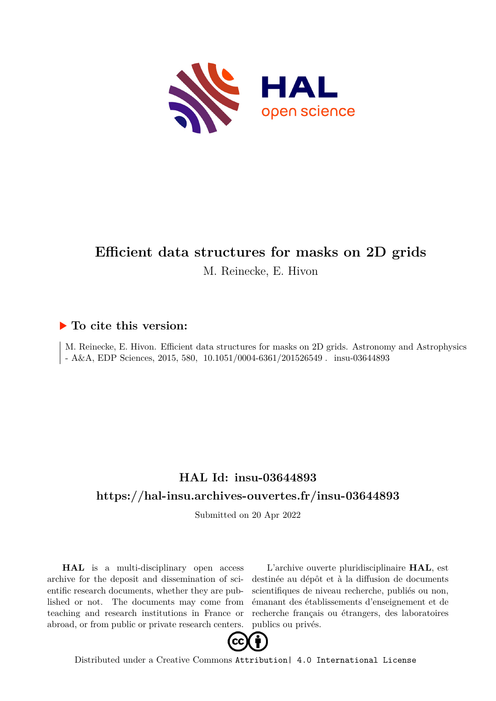

# **Efficient data structures for masks on 2D grids**

M. Reinecke, E. Hivon

## **To cite this version:**

M. Reinecke, E. Hivon. Efficient data structures for masks on 2D grids. Astronomy and Astrophysics  $\vert$  - A&A, EDP Sciences, 2015, 580, 10.1051/0004-6361/201526549 . insu-03644893

## **HAL Id: insu-03644893 <https://hal-insu.archives-ouvertes.fr/insu-03644893>**

Submitted on 20 Apr 2022

**HAL** is a multi-disciplinary open access archive for the deposit and dissemination of scientific research documents, whether they are published or not. The documents may come from teaching and research institutions in France or abroad, or from public or private research centers.

L'archive ouverte pluridisciplinaire **HAL**, est destinée au dépôt et à la diffusion de documents scientifiques de niveau recherche, publiés ou non, émanant des établissements d'enseignement et de recherche français ou étrangers, des laboratoires publics ou privés.



Distributed under a Creative Commons [Attribution| 4.0 International License](http://creativecommons.org/licenses/by/4.0/)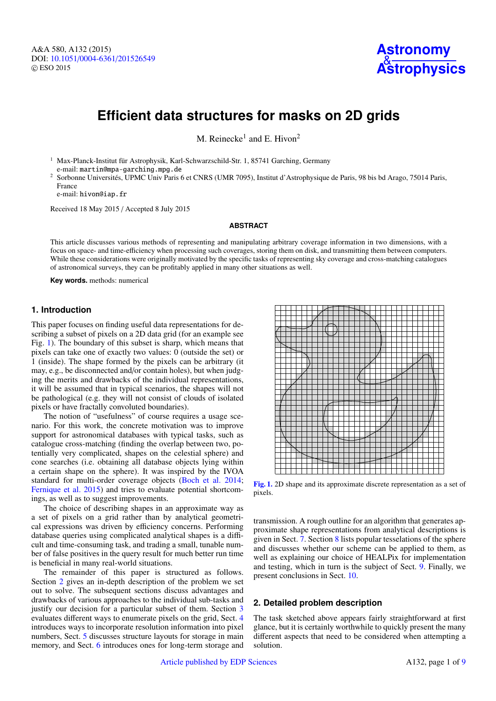A&A 580, A132 (2015) DOI: 10.1051/0004-6361/[201526549](http://dx.doi.org/10.1051/0004-6361/201526549) c ESO 2015



## **Efficient data structures for masks on 2D grids**

M. Reinecke<sup>1</sup> and E. Hivon<sup>2</sup>

<sup>1</sup> Max-Planck-Institut für Astrophysik, Karl-Schwarzschild-Str. 1, 85741 Garching, Germany e-mail: martin@mpa-garching.mpg.de

<sup>2</sup> Sorbonne Universités, UPMC Univ Paris 6 et CNRS (UMR 7095), Institut d'Astrophysique de Paris, 98 bis bd Arago, 75014 Paris, France

e-mail: hivon@iap.fr

Received 18 May 2015 / Accepted 8 July 2015

### **ABSTRACT**

This article discusses various methods of representing and manipulating arbitrary coverage information in two dimensions, with a focus on space- and time-efficiency when processing such coverages, storing them on disk, and transmitting them between computers. While these considerations were originally motivated by the specific tasks of representing sky coverage and cross-matching catalogues of astronomical surveys, they can be profitably applied in many other situations as well.

**Key words.** methods: numerical

## **1. Introduction**

This paper focuses on finding useful data representations for describing a subset of pixels on a 2D data grid (for an example see Fig. 1). The boundary of this subset is sharp, which means that pixels can take one of exactly two values: 0 (outside the set) or 1 (inside). The shape formed by the pixels can be arbitrary (it may, e.g., be disconnected and/or contain holes), but when judging the merits and drawbacks of the individual representations, it will be assumed that in typical scenarios, the shapes will not be pathological (e.g. they will not consist of clouds of isolated pixels or have fractally convoluted boundaries).

The notion of "usefulness" of course requires a usage scenario. For this work, the concrete motivation was to improve support for astronomical databases with typical tasks, such as catalogue cross-matching (finding the overlap between two, potentially very complicated, shapes on the celestial sphere) and cone searches (i.e. obtaining all database objects lying within a certain shape on the sphere). It was inspired by the IVOA standard for multi-order coverage objects (Boch et al. 2014; Fernique et al. 2015) and tries to evaluate potential shortcomings, as well as to suggest improvements.

The choice of describing shapes in an approximate way as a set of pixels on a grid rather than by analytical geometrical expressions was driven by efficiency concerns. Performing database queries using complicated analytical shapes is a difficult and time-consuming task, and trading a small, tunable number of false positives in the query result for much better run time is beneficial in many real-world situations.

The remainder of this paper is structured as follows. Section 2 gives an in-depth description of the problem we set out to solve. The subsequent sections discuss advantages and drawbacks of various approaches to the individual sub-tasks and justify our decision for a particular subset of them. Section 3 evaluates different ways to enumerate pixels on the grid, Sect. 4 introduces ways to incorporate resolution information into pixel numbers, Sect. 5 discusses structure layouts for storage in main memory, and Sect. 6 introduces ones for long-term storage and



[Fig. 1.](http://dexter.edpsciences.org/applet.php?DOI=10.1051/0004-6361/201526549&pdf_id=1) 2D shape and its approximate discrete representation as a set of pixels.

transmission. A rough outline for an algorithm that generates approximate shape representations from analytical descriptions is given in Sect. 7. Section 8 lists popular tesselations of the sphere and discusses whether our scheme can be applied to them, as well as explaining our choice of HEALPix for implementation and testing, which in turn is the subject of Sect. 9. Finally, we present conclusions in Sect. 10.

## **2. Detailed problem description**

The task sketched above appears fairly straightforward at first glance, but it is certainly worthwhile to quickly present the many different aspects that need to be considered when attempting a solution.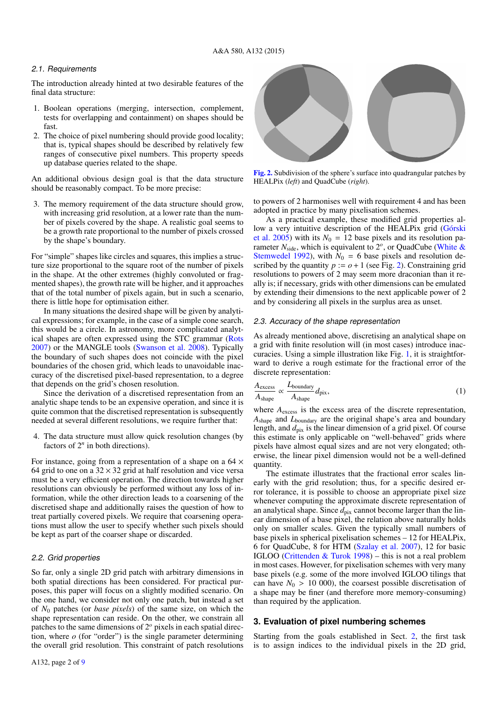## 2.1. Requirements

The introduction already hinted at two desirable features of the final data structure:

- 1. Boolean operations (merging, intersection, complement, tests for overlapping and containment) on shapes should b fast.
- 2. The choice of pixel numbering should provide good locality; that is, typical shapes should be described by relatively few ranges of consecutive pixel numbers. This property speed up database queries related to the shape.

An additional obvious design goal is that the data structure should be reasonably compact. To be more precise:

3. The memory requirement of the data structure should grow, with increasing grid resolution, at a lower rate than the number of pixels covered by the shape. A realistic goal seems to be a growth rate proportional to the number of pixels crossed by the shape's boundary.

For "simple" shapes like circles and squares, this implies a structure size proportional to the square root of the number of pixels in the shape. At the other extremes (highly convoluted or fragmented shapes), the growth rate will be higher, and it approaches that of the total number of pixels again, but in such a scenario, there is little hope for optimisation either.

In many situations the desired shape will be given by analytical expressions; for example, in the case of a simple cone search, this would be a circle. In astronomy, more complicated analytical shapes are often expressed using the STC grammar (Rots 2007) or the MANGLE tools (Swanson et al. 2008). Typically the boundary of such shapes does not coincide with the pixel boundaries of the chosen grid, which leads to unavoidable inaccuracy of the discretised pixel-based representation, to a degree that depends on the grid's chosen resolution.

Since the derivation of a discretised representation from an analytic shape tends to be an expensive operation, and since it is quite common that the discretised representation is subsequently needed at several different resolutions, we require further that:

4. The data structure must allow quick resolution changes (by factors of  $2^n$  in both directions).

For instance, going from a representation of a shape on a  $64 \times$ 64 grid to one on a  $32 \times 32$  grid at half resolution and vice versa must be a very efficient operation. The direction towards higher resolutions can obviously be performed without any loss of information, while the other direction leads to a coarsening of the discretised shape and additionally raises the question of how to treat partially covered pixels. We require that coarsening operations must allow the user to specify whether such pixels should be kept as part of the coarser shape or discarded.

## 2.2. Grid properties

So far, only a single 2D grid patch with arbitrary dimensions in both spatial directions has been considered. For practical purposes, this paper will focus on a slightly modified scenario. On the one hand, we consider not only one patch, but instead a set of *N*<sup>0</sup> patches (or *base pixels*) of the same size, on which the shape representation can reside. On the other, we constrain all patches to the same dimensions of 2*<sup>o</sup>* pixels in each spatial direction, where *o* (for "order") is the single parameter determining the overall grid resolution. This constraint of patch resolutions

HEALPix (*left*) and QuadCube (*right*).

to powers of 2 harmonises well with requirement 4 and has been adopted in practice by many pixelisation schemes.

patches by

As a practical example, these modified grid properties allow a very intuitive description of the HEALPix grid (Górski et al. 2005) with its  $N_0 = 12$  base pixels and its resolution parameter *N*<sub>side</sub>, which is equivalent to 2<sup>o</sup>, or QuadCube (White & Stemwedel 1992), with  $N_0 = 6$  base pixels and resolution described by the quantity  $p := o + 1$  (see Fig. 2). Constraining grid resolutions to powers of 2 may seem more draconian than it really is; if necessary, grids with other dimensions can be emulated by extending their dimensions to the next applicable power of 2 and by considering all pixels in the surplus area as unset.

#### 2.3. Accuracy of the shape representation

As already mentioned above, discretising an analytical shape on a grid with finite resolution will (in most cases) introduce inaccuracies. Using a simple illustration like Fig. 1, it is straightforward to derive a rough estimate for the fractional error of the discrete representation:

$$
\frac{A_{\text{excess}}}{A_{\text{shape}}} \propto \frac{L_{\text{boundary}}}{A_{\text{shape}}} d_{\text{pix}},
$$
\n(1)

where  $A_{\text{excess}}$  is the excess area of the discrete representation, *A*shape and *L*boundary are the original shape's area and boundary length, and  $d_{pix}$  is the linear dimension of a grid pixel. Of course this estimate is only applicable on "well-behaved" grids where pixels have almost equal sizes and are not very elongated; otherwise, the linear pixel dimension would not be a well-defined quantity.

The estimate illustrates that the fractional error scales linearly with the grid resolution; thus, for a specific desired error tolerance, it is possible to choose an appropriate pixel size whenever computing the approximate discrete representation of an analytical shape. Since  $d_{pix}$  cannot become larger than the linear dimension of a base pixel, the relation above naturally holds only on smaller scales. Given the typically small numbers of base pixels in spherical pixelisation schemes – 12 for HEALPix, 6 for QuadCube, 8 for HTM (Szalay et al. 2007), 12 for basic IGLOO (Crittenden & Turok 1998) – this is not a real problem in most cases. However, for pixelisation schemes with very many base pixels (e.g. some of the more involved IGLOO tilings that can have  $N_0 > 10\,000$ , the coarsest possible discretisation of a shape may be finer (and therefore more memory-consuming) than required by the application.

## **3. Evaluation of pixel numbering schemes**

Starting from the goals established in Sect. 2, the first task is to assign indices to the individual pixels in the 2D grid,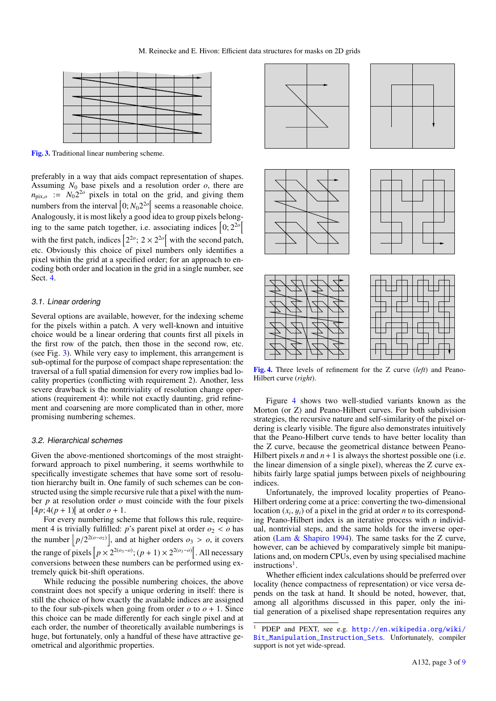

[Fig. 3.](http://dexter.edpsciences.org/applet.php?DOI=10.1051/0004-6361/201526549&pdf_id=3) Traditional linear numbering scheme.

preferably in a way that aids compact representation of shapes. Assuming  $N_0$  base pixels and a resolution order  $o$ , there are  $n_{\text{pix},o}$  :=  $N_0 2^{2o}$  pixels in total on the grid, and giving them numbers from the interval  $\left[0; N_0 2^{2o}\right]$  seems a reasonable choice. Analogously, it is most likely a good idea to group pixels belonging to the same patch together, i.e. associating indices  $\left[0; 2^{20}\right]$ with the first patch, indices  $\left[2^{2o}; 2 \times 2^{2o}\right]$  with the second patch, etc. Obviously this choice of pixel numbers only identifies a pixel within the grid at a specified order; for an approach to encoding both order and location in the grid in a single number, see Sect. 4.

## 3.1. Linear ordering

Several options are available, however, for the indexing scheme for the pixels within a patch. A very well-known and intuitive choice would be a linear ordering that counts first all pixels in the first row of the patch, then those in the second row, etc. (see Fig. 3). While very easy to implement, this arrangement is sub-optimal for the purpose of compact shape representation: the traversal of a full spatial dimension for every row implies bad locality properties (conflicting with requirement 2). Another, less severe drawback is the nontriviality of resolution change operations (requirement 4): while not exactly daunting, grid refinement and coarsening are more complicated than in other, more promising numbering schemes.

## 3.2. Hierarchical schemes

Given the above-mentioned shortcomings of the most straightforward approach to pixel numbering, it seems worthwhile to specifically investigate schemes that have some sort of resolution hierarchy built in. One family of such schemes can be constructed using the simple recursive rule that a pixel with the number *p* at resolution order *o* must coincide with the four pixels  $[4p; 4(p + 1)]$  at order  $o + 1$ .

For every numbering scheme that follows this rule, requirement 4 is trivially fulfilled: *p*'s parent pixel at order  $o_2 < o$  has the number  $\left\lfloor p/2^{2(\sigma-\sigma_2)} \right\rfloor$ , and at higher orders  $\sigma_3 > \sigma$ , it covers the range of pixels  $\left[ p \times 2^{2(o_3 - o)}; (p + 1) \times 2^{2(o_3 - o)} \right]$ . All necessary conversions between these numbers can be performed using extremely quick bit-shift operations.

While reducing the possible numbering choices, the above constraint does not specify a unique ordering in itself: there is still the choice of how exactly the available indices are assigned to the four sub-pixels when going from order  $o$  to  $o + 1$ . Since this choice can be made differently for each single pixel and at each order, the number of theoretically available numberings is huge, but fortunately, only a handful of these have attractive geometrical and algorithmic properties.



[Fig. 4.](http://dexter.edpsciences.org/applet.php?DOI=10.1051/0004-6361/201526549&pdf_id=4) Three levels of refinement for the Z curve (*left*) and Peano-Hilbert curve (*right*).

Figure 4 shows two well-studied variants known as the Morton (or Z) and Peano-Hilbert curves. For both subdivision strategies, the recursive nature and self-similarity of the pixel ordering is clearly visible. The figure also demonstrates intuitively that the Peano-Hilbert curve tends to have better locality than the Z curve, because the geometrical distance between Peano-Hilbert pixels *n* and  $n + 1$  is always the shortest possible one (i.e. the linear dimension of a single pixel), whereas the Z curve exhibits fairly large spatial jumps between pixels of neighbouring indices.

Unfortunately, the improved locality properties of Peano-Hilbert ordering come at a price: converting the two-dimensional location  $(x_i, y_i)$  of a pixel in the grid at order *n* to its correspond-<br>ing Peano-Hilbert index is an iterative process with *n* individing Peano-Hilbert index is an iterative process with *n* individual, nontrivial steps, and the same holds for the inverse operation (Lam & Shapiro 1994). The same tasks for the Z curve, however, can be achieved by comparatively simple bit manipulations and, on modern CPUs, even by using specialised machine instructions<sup>1</sup>.

Whether efficient index calculations should be preferred over locality (hence compactness of representation) or vice versa depends on the task at hand. It should be noted, however, that, among all algorithms discussed in this paper, only the initial generation of a pixelised shape representation requires any

<sup>1</sup> PDEP and PEXT, see e.g. [http://en.wikipedia.org/wiki/](http://en.wikipedia.org/wiki/Bit_Manipulation_Instruction_Sets) [Bit\\_Manipulation\\_Instruction\\_Sets](http://en.wikipedia.org/wiki/Bit_Manipulation_Instruction_Sets). Unfortunately, compiler support is not yet wide-spread.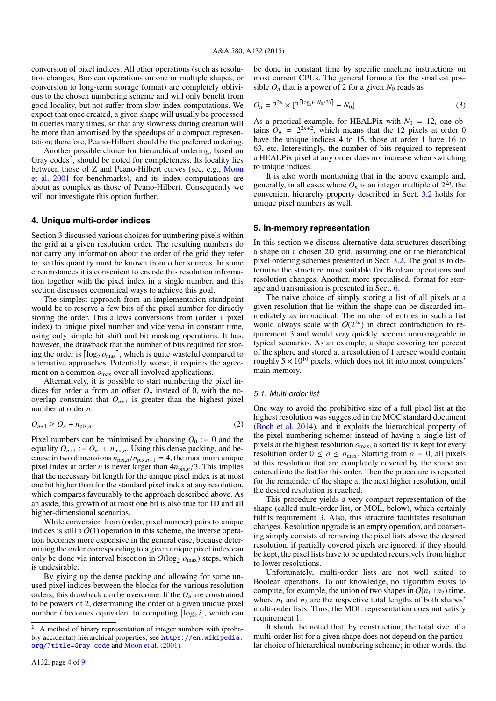conversion of pixel indices. All other operations (such as resolution changes, Boolean operations on one or multiple shapes, or conversion to long-term storage format) are completely oblivious to the chosen numbering scheme and will only benefit from good locality, but not suffer from slow index computations. We expect that once created, a given shape will usually be processed in queries many times, so that any slowness during creation will be more than amortised by the speedups of a compact representation; therefore, Peano-Hilbert should be the preferred ordering.

Another possible choice for hierarchical ordering, based on Gray codes<sup>2</sup>, should be noted for completeness. Its locality lies between those of Z and Peano-Hilbert curves (see, e.g., Moon et al. 2001 for benchmarks), and its index computations are about as complex as those of Peano-Hilbert. Consequently we will not investigate this option further.

## **4. Unique multi-order indices**

Section 3 discussed various choices for numbering pixels within the grid at a given resolution order. The resulting numbers do not carry any information about the order of the grid they refer to, so this quantity must be known from other sources. In some circumstances it is convenient to encode this resolution information together with the pixel index in a single number, and this section discusses economical ways to achieve this goal.

The simplest approach from an implementation standpoint would be to reserve a few bits of the pixel number for directly storing the order. This allows conversions from (order + pixel index) to unique pixel number and vice versa in constant time, using only simple bit shift and bit masking operations. It has, however, the drawback that the number of bits required for storing the order is  $\lceil \log_2 o_{\text{max}} \rceil$ , which is quite wasteful compared to alternative approaches. Potentially worse, it requires the agreement on a common  $o_{\text{max}}$  over all involved applications.

Alternatively, it is possible to start numbering the pixel indices for order *n* from an offset  $O<sub>n</sub>$  instead of 0, with the nooverlap constraint that  $O_{n+1}$  is greater than the highest pixel number at order *n*:

$$
O_{n+1} \ge O_n + n_{\text{pix},n}.\tag{2}
$$

Pixel numbers can be minimised by choosing  $O_0 := 0$  and the equality  $O_{n+1}$  :=  $O_n + n_{pix,n}$ . Using this dense packing, and because in two dimensions  $n_{pix,n}/n_{pix,n-1} = 4$ , the maximum unique pixel index at order *n* is never larger than  $4n_{pix,n}/3$ . This implies that the necessary bit length for the unique pixel index is at most one bit higher than for the standard pixel index at any resolution, which compares favourably to the approach described above. As an aside, this growth of at most one bit is also true for 1D and all higher-dimensional scenarios.

While conversion from (order, pixel number) pairs to unique indices is still a  $O(1)$  operation in this scheme, the inverse operation becomes more expensive in the general case, because determining the order corresponding to a given unique pixel index can only be done via interval bisection in  $O(\log_2 o_{\max})$  steps, which is undesirable.

By giving up the dense packing and allowing for some unused pixel indices between the blocks for the various resolution orders, this drawback can be overcome. If the  $O_n$  are constrained to be powers of 2, determining the order of a given unique pixel number *i* becomes equivalent to computing  $\lfloor \log_2 i \rfloor$ , which can

be done in constant time by specific machine instructions on most current CPUs. The general formula for the smallest possible  $O_n$  that is a power of 2 for a given  $N_0$  reads as

$$
O_n = 2^{2n} \times [2^{\lceil \log_2(4N_0/3) \rceil} - N_0].
$$
 (3)

As a practical example, for HEALPix with  $N_0 = 12$ , one obtains  $\hat{O}_n = 2^{2n+2}$ , which means that the 12 pixels at order 0 have the unique indices 4 to 15, those at order 1 have 16 to 63, etc. Interestingly, the number of bits required to represent a HEALPix pixel at any order does not increase when switching to unique indices.

It is also worth mentioning that in the above example and, generally, in all cases where  $\overline{O}_n$  is an integer multiple of  $2^{2n}$ , the convenient hierarchy property described in Sect. 3.2 holds for unique pixel numbers as well.

## **5. In-memory representation**

In this section we discuss alternative data structures describing a shape on a chosen 2D grid, assuming one of the hierarchical pixel ordering schemes presented in Sect. 3.2. The goal is to determine the structure most suitable for Boolean operations and resolution changes. Another, more specialised, format for storage and transmission is presented in Sect. 6.

The naive choice of simply storing a list of all pixels at a given resolution that lie within the shape can be discarded immediately as impractical. The number of entries in such a list would always scale with  $O(2^{2*o*$ ) in direct contradiction to requirement 3 and would very quickly become unmanageable in typical scenarios. As an example, a shape covering ten percent of the sphere and stored at a resolution of 1 arcsec would contain roughly  $5 \times 10^{10}$  pixels, which does not fit into most computers' main memory.

#### 5.1. Multi-order list

One way to avoid the prohibitive size of a full pixel list at the highest resolution was suggested in the MOC standard document (Boch et al. 2014), and it exploits the hierarchical property of the pixel numbering scheme: instead of having a single list of pixels at the highest resolution  $o_{\text{max}}$ , a sorted list is kept for every resolution order  $0 \le \rho \le \rho_{\text{max}}$ . Starting from  $\rho = 0$ , all pixels at this resolution that are completely covered by the shape are entered into the list for this order. Then the procedure is repeated for the remainder of the shape at the next higher resolution, until the desired resolution is reached.

This procedure yields a very compact representation of the shape (called multi-order list, or MOL, below), which certainly fulfils requirement 3. Also, this structure facilitates resolution changes. Resolution upgrade is an empty operation, and coarsening simply consists of removing the pixel lists above the desired resolution, if partially covered pixels are ignored; if they should be kept, the pixel lists have to be updated recursively from higher to lower resolutions.

Unfortunately, multi-order lists are not well suited to Boolean operations. To our knowledge, no algorithm exists to compute, for example, the union of two shapes in  $O(n_1+n_2)$  time, where  $n_1$  and  $n_2$  are the respective total lengths of both shapes' multi-order lists. Thus, the MOL representation does not satisfy requirement 1.

It should be noted that, by construction, the total size of a multi-order list for a given shape does not depend on the particular choice of hierarchical numbering scheme; in other words, the

<sup>2</sup> A method of binary representation of integer numbers with (probably accidental) hierarchical properties; see [https://en.wikipedia.](https://en.wikipedia.org/?title=Gray_code) [org/?title=Gray\\_code](https://en.wikipedia.org/?title=Gray_code) and Moon et al. (2001).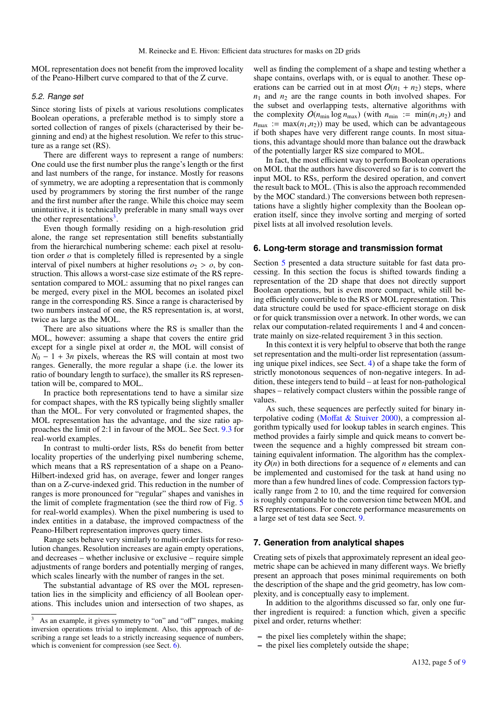MOL representation does not benefit from the improved locality of the Peano-Hilbert curve compared to that of the Z curve.

## 5.2. Range set

Since storing lists of pixels at various resolutions complicates Boolean operations, a preferable method is to simply store a sorted collection of ranges of pixels (characterised by their beginning and end) at the highest resolution. We refer to this structure as a range set (RS).

There are different ways to represent a range of numbers: One could use the first number plus the range's length or the first and last numbers of the range, for instance. Mostly for reasons of symmetry, we are adopting a representation that is commonly used by programmers by storing the first number of the range and the first number after the range. While this choice may seem unintuitive, it is technically preferable in many small ways over the other representations<sup>3</sup>.

Even though formally residing on a high-resolution grid alone, the range set representation still benefits substantially from the hierarchical numbering scheme: each pixel at resolution order  $\sigma$  that is completely filled is represented by a single interval of pixel numbers at higher resolutions  $o_2 > o$ , by construction. This allows a worst-case size estimate of the RS representation compared to MOL: assuming that no pixel ranges can be merged, every pixel in the MOL becomes an isolated pixel range in the corresponding RS. Since a range is characterised by two numbers instead of one, the RS representation is, at worst, twice as large as the MOL.

There are also situations where the RS is smaller than the MOL, however: assuming a shape that covers the entire grid except for a single pixel at order *n*, the MOL will consist of  $N_0 - 1 + 3n$  pixels, whereas the RS will contain at most two ranges. Generally, the more regular a shape (i.e. the lower its ratio of boundary length to surface), the smaller its RS representation will be, compared to MOL.

In practice both representations tend to have a similar size for compact shapes, with the RS typically being slightly smaller than the MOL. For very convoluted or fragmented shapes, the MOL representation has the advantage, and the size ratio approaches the limit of 2:1 in favour of the MOL. See Sect. 9.3 for real-world examples.

In contrast to multi-order lists, RSs do benefit from better locality properties of the underlying pixel numbering scheme, which means that a RS representation of a shape on a Peano-Hilbert-indexed grid has, on average, fewer and longer ranges than on a Z-curve-indexed grid. This reduction in the number of ranges is more pronounced for "regular" shapes and vanishes in the limit of complete fragmentation (see the third row of Fig. 5 for real-world examples). When the pixel numbering is used to index entities in a database, the improved compactness of the Peano-Hilbert representation improves query times.

Range sets behave very similarly to multi-order lists for resolution changes. Resolution increases are again empty operations, and decreases – whether inclusive or exclusive – require simple adjustments of range borders and potentially merging of ranges, which scales linearly with the number of ranges in the set.

The substantial advantage of RS over the MOL representation lies in the simplicity and efficiency of all Boolean operations. This includes union and intersection of two shapes, as well as finding the complement of a shape and testing whether a shape contains, overlaps with, or is equal to another. These operations can be carried out in at most  $O(n_1 + n_2)$  steps, where  $n_1$  and  $n_2$  are the range counts in both involved shapes. For the subset and overlapping tests, alternative algorithms with the complexity  $O(n_{min} \log n_{max})$  (with  $n_{min} := min(n_1, n_2)$  and  $n_{\text{max}} := \max(n_1, n_2)$  may be used, which can be advantageous if both shapes have very different range counts. In most situations, this advantage should more than balance out the drawback of the potentially larger RS size compared to MOL.

In fact, the most efficient way to perform Boolean operations on MOL that the authors have discovered so far is to convert the input MOL to RSs, perform the desired operation, and convert the result back to MOL. (This is also the approach recommended by the MOC standard.) The conversions between both representations have a slightly higher complexity than the Boolean operation itself, since they involve sorting and merging of sorted pixel lists at all involved resolution levels.

## **6. Long-term storage and transmission format**

Section 5 presented a data structure suitable for fast data processing. In this section the focus is shifted towards finding a representation of the 2D shape that does not directly support Boolean operations, but is even more compact, while still being efficiently convertible to the RS or MOL representation. This data structure could be used for space-efficient storage on disk or for quick transmission over a network. In other words, we can relax our computation-related requirements 1 and 4 and concentrate mainly on size-related requirement 3 in this section.

In this context it is very helpful to observe that both the range set representation and the multi-order list representation (assuming unique pixel indices, see Sect. 4) of a shape take the form of strictly monotonous sequences of non-negative integers. In addition, these integers tend to build – at least for non-pathological shapes – relatively compact clusters within the possible range of values.

As such, these sequences are perfectly suited for binary interpolative coding (Moffat & Stuiver 2000), a compression algorithm typically used for lookup tables in search engines. This method provides a fairly simple and quick means to convert between the sequence and a highly compressed bit stream containing equivalent information. The algorithm has the complexity  $O(n)$  in both directions for a sequence of *n* elements and can be implemented and customised for the task at hand using no more than a few hundred lines of code. Compression factors typically range from 2 to 10, and the time required for conversion is roughly comparable to the conversion time between MOL and RS representations. For concrete performance measurements on a large set of test data see Sect. 9.

## **7. Generation from analytical shapes**

Creating sets of pixels that approximately represent an ideal geometric shape can be achieved in many different ways. We briefly present an approach that poses minimal requirements on both the description of the shape and the grid geometry, has low complexity, and is conceptually easy to implement.

In addition to the algorithms discussed so far, only one further ingredient is required: a function which, given a specific pixel and order, returns whether:

- the pixel lies completely within the shape;
- the pixel lies completely outside the shape;

<sup>&</sup>lt;sup>3</sup> As an example, it gives symmetry to "on" and "off" ranges, making inversion operations trivial to implement. Also, this approach of describing a range set leads to a strictly increasing sequence of numbers, which is convenient for compression (see Sect. 6).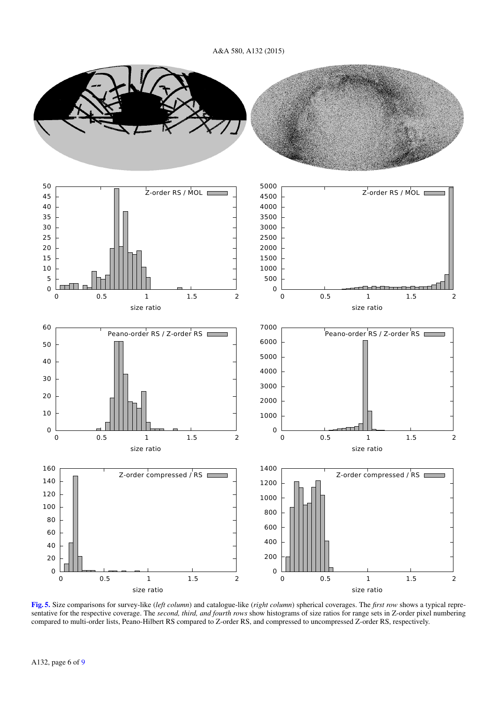

[Fig. 5.](http://dexter.edpsciences.org/applet.php?DOI=10.1051/0004-6361/201526549&pdf_id=5) Size comparisons for survey-like (*left column*) and catalogue-like (*right column*) spherical coverages. The *first row* shows a typical representative for the respective coverage. The *second, third, and fourth rows* show histograms of size ratios for range sets in Z-order pixel numbering compared to multi-order lists, Peano-Hilbert RS compared to Z-order RS, and compressed to uncompressed Z-order RS, respectively.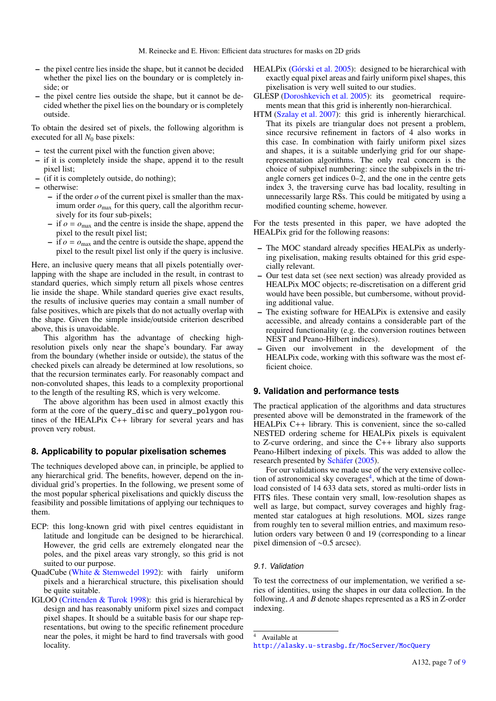- the pixel centre lies inside the shape, but it cannot be decided whether the pixel lies on the boundary or is completely inside; or
- the pixel centre lies outside the shape, but it cannot be decided whether the pixel lies on the boundary or is completely outside.

To obtain the desired set of pixels, the following algorithm is executed for all  $N_0$  base pixels:

- test the current pixel with the function given above;
- if it is completely inside the shape, append it to the result pixel list;
- (if it is completely outside, do nothing);
- otherwise:
	- if the order *o* of the current pixel is smaller than the maximum order  $o_{\text{max}}$  for this query, call the algorithm recursively for its four sub-pixels;
	- $-$  if  $o = o_{\text{max}}$  and the centre is inside the shape, append the pixel to the result pixel list;
	- $-$  if  $o = o_{\text{max}}$  and the centre is outside the shape, append the pixel to the result pixel list only if the query is inclusive.

Here, an inclusive query means that all pixels potentially overlapping with the shape are included in the result, in contrast to standard queries, which simply return all pixels whose centres lie inside the shape. While standard queries give exact results, the results of inclusive queries may contain a small number of false positives, which are pixels that do not actually overlap with the shape. Given the simple inside/outside criterion described above, this is unavoidable.

This algorithm has the advantage of checking highresolution pixels only near the shape's boundary. Far away from the boundary (whether inside or outside), the status of the checked pixels can already be determined at low resolutions, so that the recursion terminates early. For reasonably compact and non-convoluted shapes, this leads to a complexity proportional to the length of the resulting RS, which is very welcome.

The above algorithm has been used in almost exactly this form at the core of the query\_disc and query\_polygon routines of the HEALPix C++ library for several years and has proven very robust.

## **8. Applicability to popular pixelisation schemes**

The techniques developed above can, in principle, be applied to any hierarchical grid. The benefits, however, depend on the individual grid's properties. In the following, we present some of the most popular spherical pixelisations and quickly discuss the feasibility and possible limitations of applying our techniques to them.

- ECP: this long-known grid with pixel centres equidistant in latitude and longitude can be designed to be hierarchical. However, the grid cells are extremely elongated near the poles, and the pixel areas vary strongly, so this grid is not suited to our purpose.
- QuadCube (White & Stemwedel 1992): with fairly uniform pixels and a hierarchical structure, this pixelisation should be quite suitable.
- IGLOO (Crittenden & Turok 1998): this grid is hierarchical by design and has reasonably uniform pixel sizes and compact pixel shapes. It should be a suitable basis for our shape representations, but owing to the specific refinement procedure near the poles, it might be hard to find traversals with good locality.
- HEALPix (Górski et al. 2005): designed to be hierarchical with exactly equal pixel areas and fairly uniform pixel shapes, this pixelisation is very well suited to our studies.
- GLESP (Doroshkevich et al. 2005): its geometrical requirements mean that this grid is inherently non-hierarchical.
- HTM (Szalay et al. 2007): this grid is inherently hierarchical. That its pixels are triangular does not present a problem, since recursive refinement in factors of 4 also works in this case. In combination with fairly uniform pixel sizes and shapes, it is a suitable underlying grid for our shaperepresentation algorithms. The only real concern is the choice of subpixel numbering: since the subpixels in the triangle corners get indices 0–2, and the one in the centre gets index 3, the traversing curve has bad locality, resulting in unnecessarily large RSs. This could be mitigated by using a modified counting scheme, however.

For the tests presented in this paper, we have adopted the HEALPix grid for the following reasons:

- The MOC standard already specifies HEALPix as underlying pixelisation, making results obtained for this grid especially relevant.
- Our test data set (see next section) was already provided as HEALPix MOC objects; re-discretisation on a different grid would have been possible, but cumbersome, without providing additional value.
- The existing software for HEALPix is extensive and easily accessible, and already contains a considerable part of the required functionality (e.g. the conversion routines between NEST and Peano-Hilbert indices).
- Given our involvement in the development of the HEALPix code, working with this software was the most efficient choice.

## **9. Validation and performance tests**

The practical application of the algorithms and data structures presented above will be demonstrated in the framework of the HEALPix C++ library. This is convenient, since the so-called NESTED ordering scheme for HEALPix pixels is equivalent to Z-curve ordering, and since the C++ library also supports Peano-Hilbert indexing of pixels. This was added to allow the research presented by Schäfer (2005).

For our validations we made use of the very extensive collection of astronomical sky coverages $4$ , which at the time of download consisted of 14 633 data sets, stored as multi-order lists in FITS files. These contain very small, low-resolution shapes as well as large, but compact, survey coverages and highly fragmented star catalogues at high resolutions. MOL sizes range from roughly ten to several million entries, and maximum resolution orders vary between 0 and 19 (corresponding to a linear pixel dimension of ∼0.5 arcsec).

## 9.1. Validation

To test the correctness of our implementation, we verified a series of identities, using the shapes in our data collection. In the following, *A* and *B* denote shapes represented as a RS in Z-order indexing.

<sup>4</sup> Available at

<http://alasky.u-strasbg.fr/MocServer/MocQuery>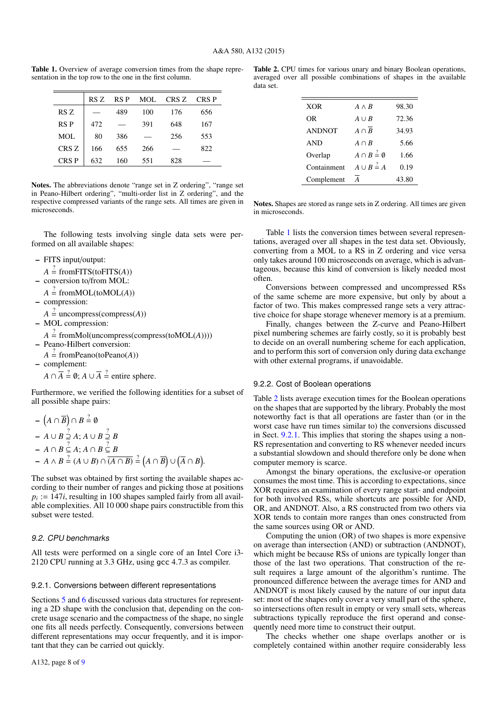Table 1. Overview of average conversion times from the shape representation in the top row to the one in the first column.

|                  | RS Z | RS P | <b>MOL</b> | CRS Z | CRS P |
|------------------|------|------|------------|-------|-------|
| RS Z             |      | 489  | 100        | 176   | 656   |
| <b>RSP</b>       | 472  |      | 391        | 648   | 167   |
| MOL              | 80   | 386  |            | 256   | 553   |
| CRS <sub>Z</sub> | 166  | 655  | 266        |       | 822   |
| CRS P            | 632  | 160  | 551        | 828   |       |

Notes. The abbreviations denote "range set in Z ordering", "range set in Peano-Hilbert ordering", "multi-order list in Z ordering", and the respective compressed variants of the range sets. All times are given in microseconds.

The following tests involving single data sets were performed on all available shapes:

– FITS input/output:

- $A \stackrel{?}{=}$  from FITS(to FITS(*A*))
- conversion to/from MOL:
- $A \stackrel{?}{=} \text{fromMOL}(\text{toMOL}(A))$
- compression:
	- $A \stackrel{?}{=}$  uncompress(compress(*A*))
- MOL compression:
- $A \stackrel{?}{=}$  fromMol(uncompress(compress(toMOL(*A*)))) – Peano-Hilbert conversion:
- $A \stackrel{?}{=}$  fromPeano(toPeano(*A*))
- complement:

$$
A \cap \overline{A} \stackrel{?}{=} \emptyset
$$
;  $A \cup \overline{A} \stackrel{?}{=} \text{entire sphere.}$ 

Furthermore, we verified the following identities for a subset of all possible shape pairs:

$$
- (A \cap \overline{B}) \cap B \stackrel{?}{=} 0
$$
  
\n
$$
- A \cup B \stackrel{?}{=} A; A \cup B \stackrel{?}{=} B
$$
  
\n
$$
- A \cap B \stackrel{?}{=} A; A \cap B \stackrel{?}{=} B
$$
  
\n
$$
- A \wedge B \stackrel{?}{=} (A \cup B) \cap \overline{(A \cap B)} \stackrel{?}{=} (A \cap \overline{B}) \cup (\overline{A} \cap B).
$$

The subset was obtained by first sorting the available shapes according to their number of ranges and picking those at positions  $p_i := 147i$ , resulting in 100 shapes sampled fairly from all available complexities. All 10 000 shape pairs constructible from this subset were tested.

## 9.2. CPU benchmarks

All tests were performed on a single core of an Intel Core i3- 2120 CPU running at 3.3 GHz, using gcc 4.7.3 as compiler.

#### 9.2.1. Conversions between different representations

Sections 5 and 6 discussed various data structures for representing a 2D shape with the conclusion that, depending on the concrete usage scenario and the compactness of the shape, no single one fits all needs perfectly. Consequently, conversions between different representations may occur frequently, and it is important that they can be carried out quickly.

|           |  | <b>Table 2.</b> CPU times for various unary and binary Boolean operations, |  |  |  |
|-----------|--|----------------------------------------------------------------------------|--|--|--|
|           |  | averaged over all possible combinations of shapes in the available         |  |  |  |
| data set. |  |                                                                            |  |  |  |

| <b>XOR</b>    | $A \wedge B$                 | 98.30 |
|---------------|------------------------------|-------|
| OR            | $A \cup B$                   | 72.36 |
| <b>ANDNOT</b> | $A \cap \overline{B}$        | 34.93 |
| <b>AND</b>    | $A \cap B$                   | 5.66  |
| Overlap       | $A \cap B = \emptyset$       | 1.66  |
| Containment   | $A \cup B \stackrel{?}{=} A$ | 0.19  |
| Complement    | A                            | 43.80 |
|               |                              |       |

Notes. Shapes are stored as range sets in Z ordering. All times are given in microseconds.

Table 1 lists the conversion times between several representations, averaged over all shapes in the test data set. Obviously, converting from a MOL to a RS in Z ordering and vice versa only takes around 100 microseconds on average, which is advantageous, because this kind of conversion is likely needed most often.

Conversions between compressed and uncompressed RSs of the same scheme are more expensive, but only by about a factor of two. This makes compressed range sets a very attractive choice for shape storage whenever memory is at a premium.

Finally, changes between the Z-curve and Peano-Hilbert pixel numbering schemes are fairly costly, so it is probably best to decide on an overall numbering scheme for each application, and to perform this sort of conversion only during data exchange with other external programs, if unavoidable.

## 9.2.2. Cost of Boolean operations

Table 2 lists average execution times for the Boolean operations on the shapes that are supported by the library. Probably the most noteworthy fact is that all operations are faster than (or in the worst case have run times similar to) the conversions discussed in Sect. 9.2.1. This implies that storing the shapes using a non-RS representation and converting to RS whenever needed incurs a substantial slowdown and should therefore only be done when computer memory is scarce.

Amongst the binary operations, the exclusive-or operation consumes the most time. This is according to expectations, since XOR requires an examination of every range start- and endpoint for both involved RSs, while shortcuts are possible for AND, OR, and ANDNOT. Also, a RS constructed from two others via XOR tends to contain more ranges than ones constructed from the same sources using OR or AND.

Computing the union (OR) of two shapes is more expensive on average than intersection (AND) or subtraction (ANDNOT), which might be because RSs of unions are typically longer than those of the last two operations. That construction of the result requires a large amount of the algorithm's runtime. The pronounced difference between the average times for AND and ANDNOT is most likely caused by the nature of our input data set: most of the shapes only cover a very small part of the sphere, so intersections often result in empty or very small sets, whereas subtractions typically reproduce the first operand and consequently need more time to construct their output.

The checks whether one shape overlaps another or is completely contained within another require considerably less